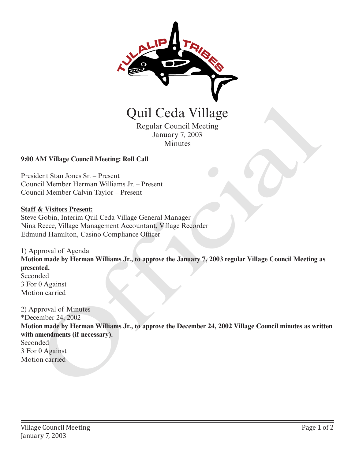

Regular Council Meeting January 7, 2003 Minutes

# **9:00 AM Village Council Meeting: Roll Call**

President Stan Jones Sr. – Present Council Member Herman Williams Jr. – Present Council Member Calvin Taylor – Present

#### **Staff & Visitors Present:**

Steve Gobin, Interim Quil Ceda Village General Manager Nina Reece, Village Management Accountant, Village Recorder Edmund Hamilton, Casino Compliance Officer

1) Approval of Agenda **Motion made by Herman Williams Jr., to approve the January 7, 2003 regular Village Council Meeting as presented.** Seconded 3 For 0 Against Motion carried

2) Approval of Minutes \*December 24, 2002 **Motion made by Herman Williams Jr., to approve the December 24, 2002 Village Council minutes as written with amendments (if necessary).** Seconded 3 For 0 Against Quill Cecla Village<br>
Regular Council Meeting<br>
Minus<br>
Minus<br>
2003<br>
Minus<br>
2003<br>
2000 AM Village Council Meeting: Roll Call<br>
2003<br>
2000 AM Village Council Meeting: Roll Call<br>
2003<br>
Council Member Calvin Taylor – Present<br>
Cou